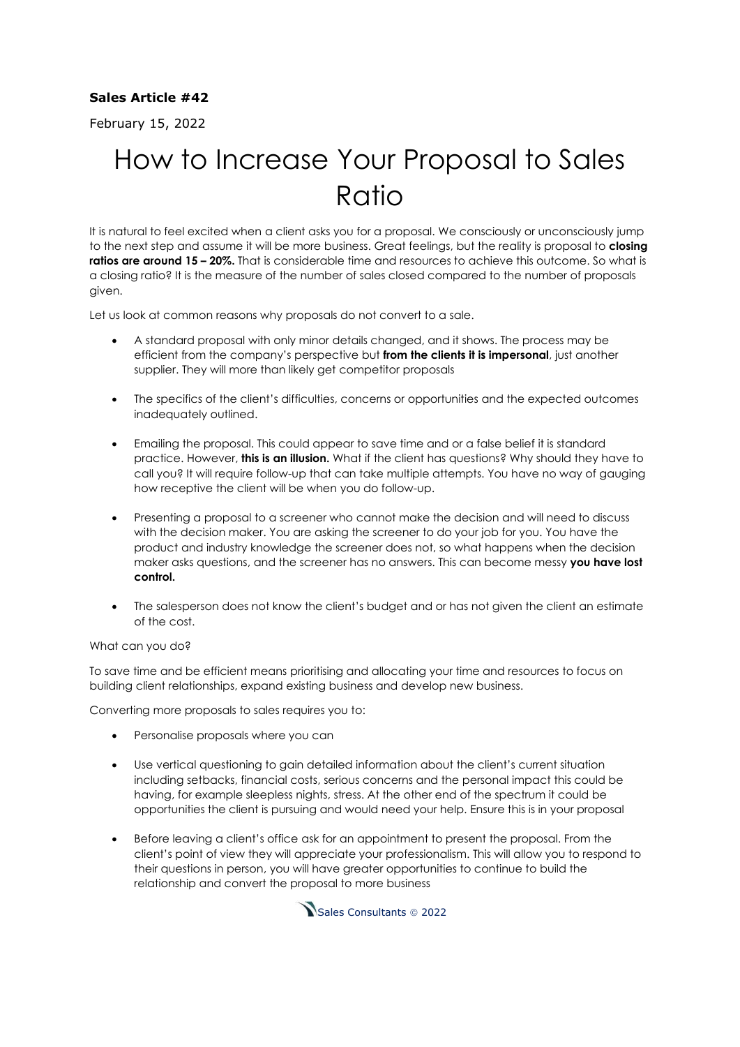## **Sales Article #42**

February 15, 2022

## How to Increase Your Proposal to Sales Ratio

It is natural to feel excited when a client asks you for a proposal. We consciously or unconsciously jump to the next step and assume it will be more business. Great feelings, but the reality is proposal to **closing ratios are around 15 – 20%.** That is considerable time and resources to achieve this outcome. So what is a closing ratio? It is the measure of the number of sales closed compared to the number of proposals given.

Let us look at common reasons why proposals do not convert to a sale.

- A standard proposal with only minor details changed, and it shows. The process may be efficient from the company's perspective but **from the clients it is impersonal**, just another supplier. They will more than likely get competitor proposals
- The specifics of the client's difficulties, concerns or opportunities and the expected outcomes inadequately outlined.
- Emailing the proposal. This could appear to save time and or a false belief it is standard practice. However, **this is an illusion.** What if the client has questions? Why should they have to call you? It will require follow-up that can take multiple attempts. You have no way of gauging how receptive the client will be when you do follow-up.
- Presenting a proposal to a screener who cannot make the decision and will need to discuss with the decision maker. You are asking the screener to do your job for you. You have the product and industry knowledge the screener does not, so what happens when the decision maker asks questions, and the screener has no answers. This can become messy **you have lost control.**
- The salesperson does not know the client's budget and or has not given the client an estimate of the cost.

## What can you do?

To save time and be efficient means prioritising and allocating your time and resources to focus on building client relationships, expand existing business and develop new business.

Converting more proposals to sales requires you to:

- Personalise proposals where you can
- Use vertical questioning to gain detailed information about the client's current situation including setbacks, financial costs, serious concerns and the personal impact this could be having, for example sleepless nights, stress. At the other end of the spectrum it could be opportunities the client is pursuing and would need your help. Ensure this is in your proposal
- Before leaving a client's office ask for an appointment to present the proposal. From the client's point of view they will appreciate your professionalism. This will allow you to respond to their questions in person, you will have greater opportunities to continue to build the relationship and convert the proposal to more business